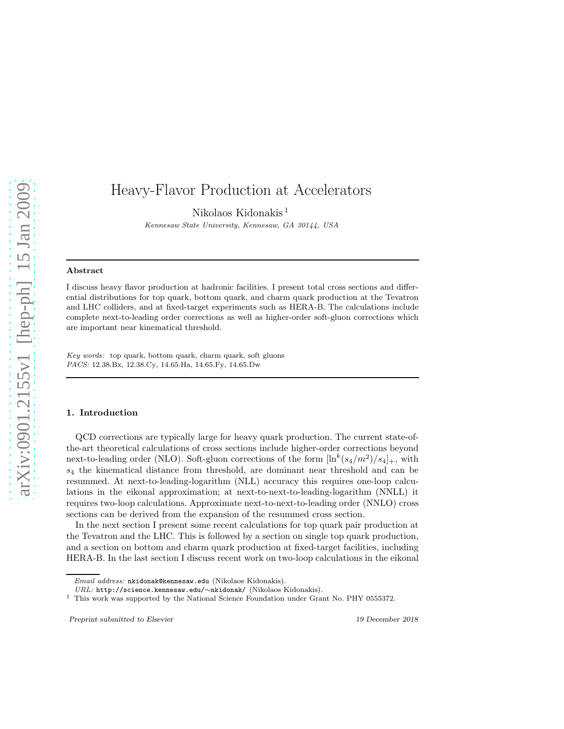# Heavy-Flavor Production at Accelerators

Nikolaos Kidonakis <sup>1</sup>

Kennesaw State University, Kennesaw, GA 30144, USA

#### Abstract

I discuss heavy flavor production at hadronic facilities. I present total cross sections and differential distributions for top quark, bottom quark, and charm quark production at the Tevatron and LHC colliders, and at fixed-target experiments such as HERA-B. The calculations include complete next-to-leading order corrections as well as higher-order soft-gluon corrections which are important near kinematical threshold.

Key words: top quark, bottom quark, charm quark, soft gluons PACS: 12.38.Bx, 12.38.Cy, 14.65.Ha, 14.65.Fy, 14.65.Dw

#### 1. Introduction

QCD corrections are typically large for heavy quark production. The current state-ofthe-art theoretical calculations of cross sections include higher-order corrections beyond next-to-leading order (NLO). Soft-gluon corrections of the form  $[\ln^k(s_4/m^2)/s_4]_+$ , with s<sup>4</sup> the kinematical distance from threshold, are dominant near threshold and can be resummed. At next-to-leading-logarithm (NLL) accuracy this requires one-loop calculations in the eikonal approximation; at next-to-next-to-leading-logarithm (NNLL) it requires two-loop calculations. Approximate next-to-next-to-leading order (NNLO) cross sections can be derived from the expansion of the resummed cross section.

In the next section I present some recent calculations for top quark pair production at the Tevatron and the LHC. This is followed by a section on single top quark production, and a section on bottom and charm quark production at fixed-target facilities, including HERA-B. In the last section I discuss recent work on two-loop calculations in the eikonal

Preprint submitted to Elsevier 19 December 2018

Email address: nkidonak@kennesaw.edu (Nikolaos Kidonakis).

URL: http://science.kennesaw.edu/∼nkidonak/ (Nikolaos Kidonakis).

 $1$  This work was supported by the National Science Foundation under Grant No. PHY 0555372.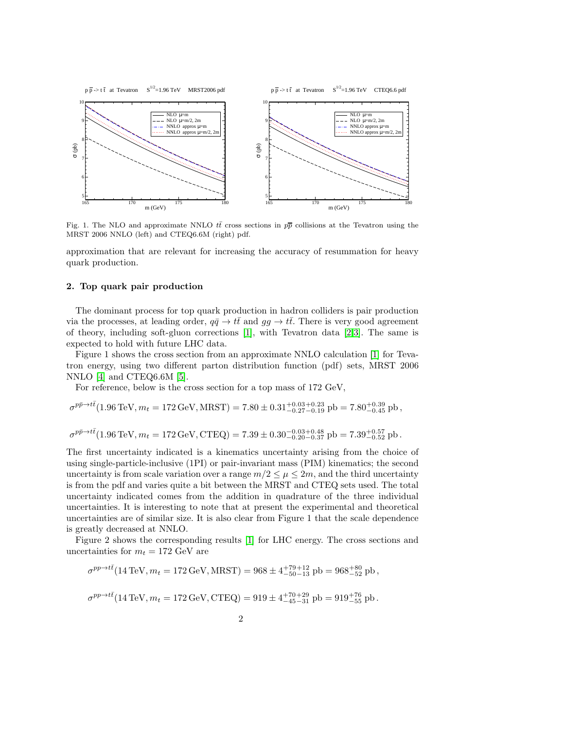

Fig. 1. The NLO and approximate NNLO  $t\bar{t}$  cross sections in  $p\bar{p}$  collisions at the Tevatron using the MRST 2006 NNLO (left) and CTEQ6.6M (right) pdf.

approximation that are relevant for increasing the accuracy of resummation for heavy quark production.

### 2. Top quark pair production

The dominant process for top quark production in hadron colliders is pair production via the processes, at leading order,  $q\bar{q} \to t\bar{t}$  and  $gg \to t\bar{t}$ . There is very good agreement of theory, including soft-gluon corrections [\[1\]](#page-5-0), with Tevatron data [\[2](#page-5-1)[,3\]](#page-5-2). The same is expected to hold with future LHC data.

Figure 1 shows the cross section from an approximate NNLO calculation [\[1\]](#page-5-0) for Tevatron energy, using two different parton distribution function (pdf) sets, MRST 2006 NNLO [\[4\]](#page-5-3) and CTEQ6.6M [\[5\]](#page-5-4).

For reference, below is the cross section for a top mass of 172 GeV,

$$
\sigma^{p\bar p \rightarrow t\bar t} (1.96\,\text{TeV}, m_t=172\,\text{GeV}, \text{MRST}) = 7.80 \pm 0.31^{+0.03}_{-0.27} {}^{+0.23}_{-0.19}\,\text{pb} = 7.80^{+0.39}_{-0.45}\,\text{pb}\,,
$$

 $\sigma^{p\bar{p}\rightarrow t\bar{t}}(1.96 \text{ TeV}, m_t = 172 \text{ GeV}, \text{CTEQ}) = 7.39 \pm 0.30_{-0.20 - 0.37}^{-0.03 + 0.48} \text{ pb} = 7.39_{-0.52}^{+0.57} \text{ pb}.$ 

The first uncertainty indicated is a kinematics uncertainty arising from the choice of using single-particle-inclusive (1PI) or pair-invariant mass (PIM) kinematics; the second uncertainty is from scale variation over a range  $m/2 \leq \mu \leq 2m$ , and the third uncertainty is from the pdf and varies quite a bit between the MRST and CTEQ sets used. The total uncertainty indicated comes from the addition in quadrature of the three individual uncertainties. It is interesting to note that at present the experimental and theoretical uncertainties are of similar size. It is also clear from Figure 1 that the scale dependence is greatly decreased at NNLO.

Figure 2 shows the corresponding results [\[1\]](#page-5-0) for LHC energy. The cross sections and uncertainties for  $m_t = 172$  GeV are

$$
\sigma^{pp \to t\bar{t}}(14 \,\text{TeV}, m_t = 172 \,\text{GeV}, \text{MRST}) = 968 \pm 4^{+79+12}_{-50-13} \,\text{pb} = 968^{+80}_{-52} \,\text{pb} \,,
$$

$$
\sigma^{pp \to t\bar{t}}(14\,\text{TeV}, m_t = 172\,\text{GeV}, \text{CTEQ}) = 919 \pm 4^{+70+29}_{-45-31} \text{ pb} = 919^{+76}_{-55} \text{ pb}.
$$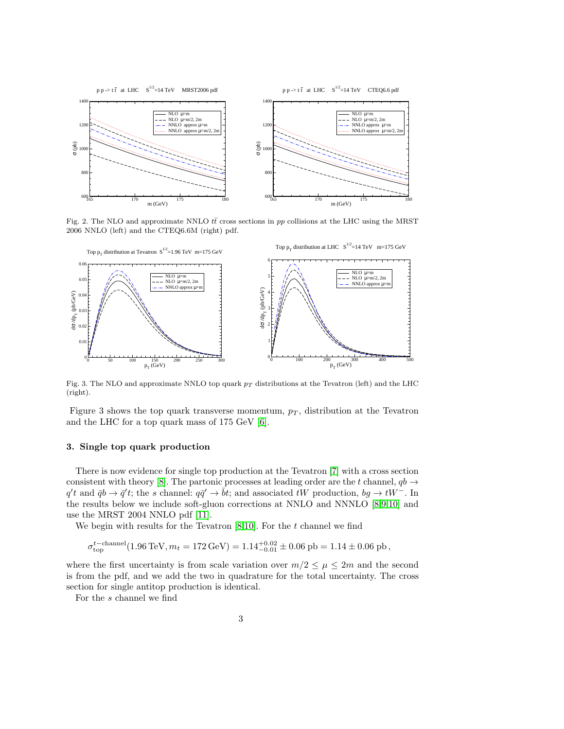

Fig. 2. The NLO and approximate NNLO  $t\bar{t}$  cross sections in pp collisions at the LHC using the MRST 2006 NNLO (left) and the CTEQ6.6M (right) pdf.



Fig. 3. The NLO and approximate NNLO top quark  $p_T$  distributions at the Tevatron (left) and the LHC (right).

Figure 3 shows the top quark transverse momentum,  $p<sub>T</sub>$ , distribution at the Tevatron and the LHC for a top quark mass of 175 GeV [\[6\]](#page-5-5).

# 3. Single top quark production

There is now evidence for single top production at the Tevatron [\[7\]](#page-5-6) with a cross section consistent with theory [\[8\]](#page-5-7). The partonic processes at leading order are the t channel,  $q b \rightarrow$  $q't$  and  $\bar{q}b \to \bar{q}'t$ ; the s channel:  $q\bar{q}' \to \bar{b}t$ ; and associated tW production,  $bg \to tW^-$ . In the results below we include soft-gluon corrections at NNLO and NNNLO [\[8](#page-5-7)[,9](#page-5-8)[,10\]](#page-5-9) and use the MRST 2004 NNLO pdf [\[11\]](#page-5-10).

We begin with results for the Tevatron  $[8,10]$  $[8,10]$ . For the t channel we find

$$
\sigma^{t-{\rm channel}}_{\rm top}(1.96\,\text{TeV},m_t=172\,\text{GeV}) = 1.14^{+0.02}_{-0.01}\pm 0.06\,\text{pb}=1.14\pm 0.06\,\text{pb}\,,
$$

where the first uncertainty is from scale variation over  $m/2 \leq \mu \leq 2m$  and the second is from the pdf, and we add the two in quadrature for the total uncertainty. The cross section for single antitop production is identical.

For the s channel we find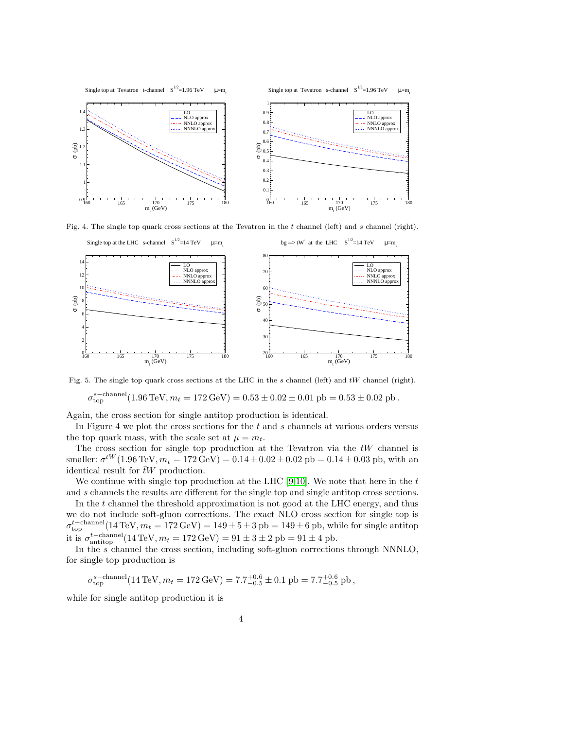

Fig. 4. The single top quark cross sections at the Tevatron in the  $t$  channel (left) and  $s$  channel (right).



Fig. 5. The single top quark cross sections at the LHC in the s channel (left) and tW channel (right).

 $\sigma_{\rm top}^{\rm s-channel}(1.96\,{\rm TeV}, m_t = 172\,{\rm GeV}) = 0.53 \pm 0.02 \pm 0.01~{\rm pb} = 0.53 \pm 0.02~{\rm pb}\,.$ 

Again, the cross section for single antitop production is identical.

In Figure 4 we plot the cross sections for the t and s channels at various orders versus the top quark mass, with the scale set at  $\mu = m_t$ .

The cross section for single top production at the Tevatron via the  $tW$  channel is smaller:  $\sigma^{tW}$ (1.96 TeV,  $m_t = 172 \text{ GeV}$ ) =  $0.14 \pm 0.02 \pm 0.02 \text{ pb} = 0.14 \pm 0.03 \text{ pb}$ , with an identical result for  $\bar{t}W$  production.

We continue with single top production at the LHC  $[9,10]$  $[9,10]$ . We note that here in the t and s channels the results are different for the single top and single antitop cross sections.

In the t channel the threshold approximation is not good at the LHC energy, and thus we do not include soft-gluon corrections. The exact NLO cross section for single top is  $\sigma_{\text{top}}^{t-\text{channel}}(14 \text{ TeV}, m_t = 172 \text{ GeV}) = 149 \pm 5 \pm 3 \text{ pb} = 149 \pm 6 \text{ pb}$ , while for single antitop it is  $\sigma_{\text{antitop}}^{t-\text{channel}}(14 \text{ TeV}, m_t = 172 \text{ GeV}) = 91 \pm 3 \pm 2 \text{ pb} = 91 \pm 4 \text{ pb}.$ 

In the  $s$  channel the cross section, including soft-gluon corrections through NNNLO, for single top production is

 $\sigma_{\rm top}^{\rm s-channel}(14\,{\rm TeV}, m_t = 172\,{\rm GeV}) = 7.7^{+0.6}_{-0.5} \pm 0.1~{\rm pb} = 7.7^{+0.6}_{-0.5}~{\rm pb}\,,$ 

while for single antitop production it is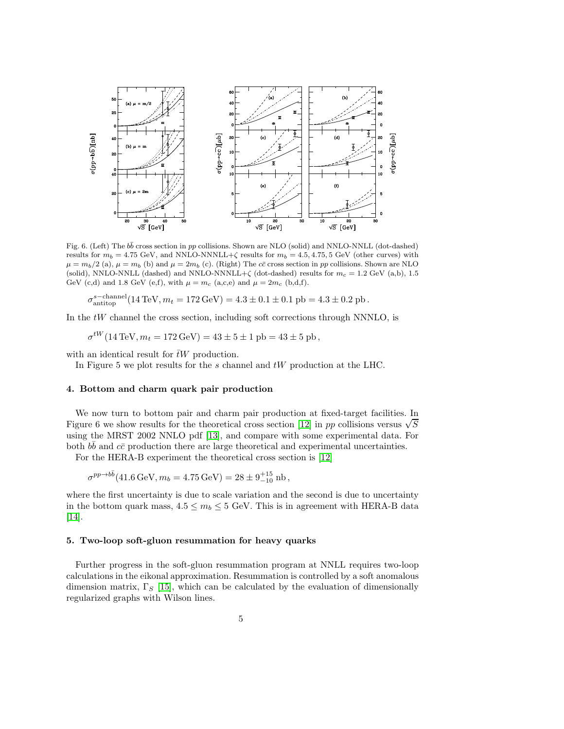

Fig. 6. (Left) The  $b\bar{b}$  cross section in pp collisions. Shown are NLO (solid) and NNLO-NNLL (dot-dashed) results for  $m_b = 4.75$  GeV, and NNLO-NNNLL+ $\zeta$  results for  $m_b = 4.5, 4.75, 5$  GeV (other curves) with  $\mu = m_b/2$  (a),  $\mu = m_b$  (b) and  $\mu = 2m_b$  (c). (Right) The c $\bar{c}$  cross section in pp collisions. Shown are NLO (solid), NNLO-NNLL (dashed) and NNLO-NNNLL+ $\zeta$  (dot-dashed) results for  $m_c = 1.2$  GeV (a,b), 1.5 GeV (c,d) and 1.8 GeV (e,f), with  $\mu = m_c$  (a,c,e) and  $\mu = 2m_c$  (b,d,f).

$$
\sigma_{\text{antitop}}^{\text{s-channel}}(14 \,\text{TeV}, m_t = 172 \,\text{GeV}) = 4.3 \pm 0.1 \pm 0.1 \,\text{pb} = 4.3 \pm 0.2 \,\text{pb} \,.
$$

In the  $tW$  channel the cross section, including soft corrections through NNNLO, is

$$
\sigma^{tW}(14 \,\text{TeV}, m_t = 172 \,\text{GeV}) = 43 \pm 5 \pm 1 \,\text{pb} = 43 \pm 5 \,\text{pb},
$$

with an identical result for  $\bar{t}W$  production.

In Figure 5 we plot results for the  $s$  channel and  $tW$  production at the LHC.

# 4. Bottom and charm quark pair production

We now turn to bottom pair and charm pair production at fixed-target facilities. In Figure 6 we show results for the theoretical cross section [\[12\]](#page-5-11) in pp collisions versus  $\sqrt{S}$ using the MRST 2002 NNLO pdf [\[13\]](#page-5-12), and compare with some experimental data. For both  $b\bar{b}$  and  $c\bar{c}$  production there are large theoretical and experimental uncertainties.

For the HERA-B experiment the theoretical cross section is [\[12\]](#page-5-11)

$$
\sigma^{pp \to b\bar{b}}(41.6 \,\text{GeV}, m_b = 4.75 \,\text{GeV}) = 28 \pm 9^{+15}_{-10} \,\text{nb} \,,
$$

where the first uncertainty is due to scale variation and the second is due to uncertainty in the bottom quark mass,  $4.5 \le m_b \le 5$  GeV. This is in agreement with HERA-B data [\[14\]](#page-5-13).

# 5. Two-loop soft-gluon resummation for heavy quarks

Further progress in the soft-gluon resummation program at NNLL requires two-loop calculations in the eikonal approximation. Resummation is controlled by a soft anomalous dimension matrix,  $\Gamma_S$  [\[15\]](#page-5-14), which can be calculated by the evaluation of dimensionally regularized graphs with Wilson lines.